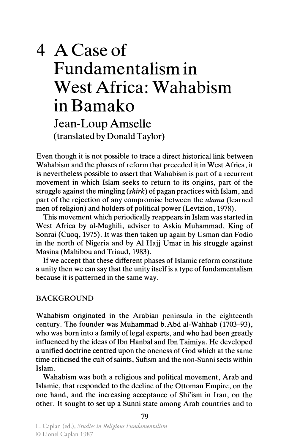## 4 ACaseof Fundamentalism in West Africa: Wahabism in Bamako Jean-Loup Amselle (translated by Donald Taylor)

Even though it is not possible to trace a direct historical link between Wahabism and the phases of reform that preceded it in West Africa, it is nevertheless possible to assert that Wahabism is part of a recurrent movement in which Islam seeks to return to its origins, part of the struggle against the mingling *(shirk)* of pagan practices with Islam, and part of the rejection of any compromise between the *ulama* (learned men of religion) and holders of political power (Levtzion, 1978).

This movement which periodically reappears in Islam was started in West Africa by al-Maghili, adviser to Askia Muhammad, King of Sonrai (Cuoq, 1975). It was then taken up again by Usman dan Fodio in the north of Nigeria and by Al Hajj Umar in his struggle against Masina (Mahibou and Triaud, 1983).

If we accept that these different phases of Islamic reform constitute a unity then we can say that the unity itself is a type of fundamentalism because it is patterned in the same way.

## **BACKGROUND**

Wahabism originated in the Arabian peninsula in the eighteenth century. The founder was Muhammad b.Abd al-Wahhab (1703-93), who was born into a family of legal experts, and who had been greatly influenced by the ideas of Ibn Hanbal and Ibn Taimiya. He developed a unified doctrine centred upon the oneness of God which at the same time criticised the cult of saints, Sufism and the non-Sunni sects within Islam.

Wahabism was both a religious and political movement, Arab and Islamic, that responded to the decline of the Ottoman Empire, on the one hand, and the increasing acceptance of Shi'ism in Iran, on the other. It sought to set up a Sunni state among Arab countries and to